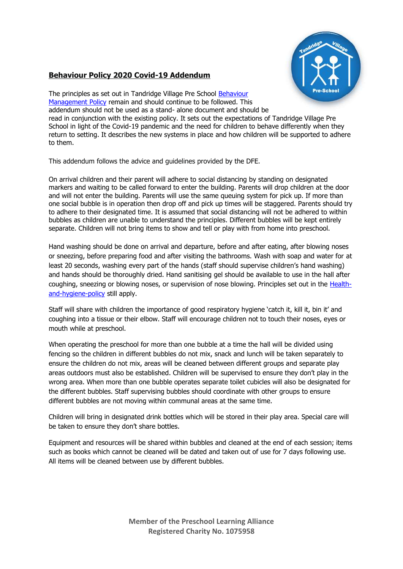

# **Behaviour Policy 2020 Covid-19 Addendum**

The principles as set out in Tandridge Village Pre School [Behaviour](http://tandridgevillagepreschool.co.uk/wp-content/uploads/2019/09/Behaviour-Management-policy.pdf)  [Management Policy](http://tandridgevillagepreschool.co.uk/wp-content/uploads/2019/09/Behaviour-Management-policy.pdf) remain and should continue to be followed. This addendum should not be used as a stand- alone document and should be read in conjunction with the existing policy. It sets out the expectations of Tandridge Village Pre School in light of the Covid-19 pandemic and the need for children to behave differently when they return to setting. It describes the new systems in place and how children will be supported to adhere to them.

This addendum follows the advice and guidelines provided by the DFE.

On arrival children and their parent will adhere to social distancing by standing on designated markers and waiting to be called forward to enter the building. Parents will drop children at the door and will not enter the building. Parents will use the same queuing system for pick up. If more than one social bubble is in operation then drop off and pick up times will be staggered. Parents should try to adhere to their designated time. It is assumed that social distancing will not be adhered to within bubbles as children are unable to understand the principles. Different bubbles will be kept entirely separate. Children will not bring items to show and tell or play with from home into preschool.

Hand washing should be done on arrival and departure, before and after eating, after blowing noses or sneezing, before preparing food and after visiting the bathrooms. Wash with soap and water for at least 20 seconds, washing every part of the hands (staff should supervise children's hand washing) and hands should be thoroughly dried. Hand sanitising gel should be available to use in the hall after coughing, sneezing or blowing noses, or supervision of nose blowing. Principles set out in the [Health](http://tandridgevillagepreschool.co.uk/wp-content/uploads/2019/09/Health-and-hygiene-policy.pdf)[and-hygiene-policy](http://tandridgevillagepreschool.co.uk/wp-content/uploads/2019/09/Health-and-hygiene-policy.pdf) still apply.

Staff will share with children the importance of good respiratory hygiene 'catch it, kill it, bin it' and coughing into a tissue or their elbow. Staff will encourage children not to touch their noses, eyes or mouth while at preschool.

When operating the preschool for more than one bubble at a time the hall will be divided using fencing so the children in different bubbles do not mix, snack and lunch will be taken separately to ensure the children do not mix, areas will be cleaned between different groups and separate play areas outdoors must also be established. Children will be supervised to ensure they don't play in the wrong area. When more than one bubble operates separate toilet cubicles will also be designated for the different bubbles. Staff supervising bubbles should coordinate with other groups to ensure different bubbles are not moving within communal areas at the same time.

Children will bring in designated drink bottles which will be stored in their play area. Special care will be taken to ensure they don't share bottles.

Equipment and resources will be shared within bubbles and cleaned at the end of each session; items such as books which cannot be cleaned will be dated and taken out of use for 7 days following use. All items will be cleaned between use by different bubbles.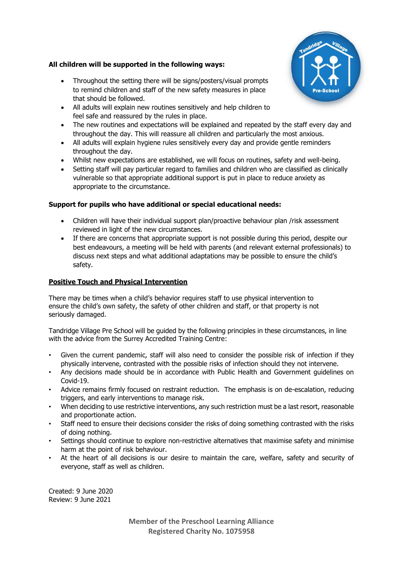#### **All children will be supported in the following ways:**

- Throughout the setting there will be signs/posters/visual prompts to remind children and staff of the new safety measures in place that should be followed.
- All adults will explain new routines sensitively and help children to feel safe and reassured by the rules in place.
- The new routines and expectations will be explained and repeated by the staff every day and throughout the day. This will reassure all children and particularly the most anxious.
- All adults will explain hygiene rules sensitively every day and provide gentle reminders throughout the day.
- Whilst new expectations are established, we will focus on routines, safety and well-being.
- Setting staff will pay particular regard to families and children who are classified as clinically vulnerable so that appropriate additional support is put in place to reduce anxiety as appropriate to the circumstance.

#### **Support for pupils who have additional or special educational needs:**

- Children will have their individual support plan/proactive behaviour plan /risk assessment reviewed in light of the new circumstances.
- If there are concerns that appropriate support is not possible during this period, despite our best endeavours, a meeting will be held with parents (and relevant external professionals) to discuss next steps and what additional adaptations may be possible to ensure the child's safety.

### **Positive Touch and Physical Intervention**

There may be times when a child's behavior requires staff to use physical intervention to ensure the child's own safety, the safety of other children and staff, or that property is not seriously damaged.

Tandridge Village Pre School will be guided by the following principles in these circumstances, in line with the advice from the Surrey Accredited Training Centre:

- Given the current pandemic, staff will also need to consider the possible risk of infection if they physically intervene, contrasted with the possible risks of infection should they not intervene.
- Any decisions made should be in accordance with Public Health and Government guidelines on Covid-19.
- Advice remains firmly focused on restraint reduction. The emphasis is on de-escalation, reducing triggers, and early interventions to manage risk.
- When deciding to use restrictive interventions, any such restriction must be a last resort, reasonable and proportionate action.
- Staff need to ensure their decisions consider the risks of doing something contrasted with the risks of doing nothing.
- Settings should continue to explore non-restrictive alternatives that maximise safety and minimise harm at the point of risk behaviour.
- At the heart of all decisions is our desire to maintain the care, welfare, safety and security of everyone, staff as well as children.

Created: 9 June 2020 Review: 9 June 2021

> **Member of the Preschool Learning Alliance Registered Charity No. 1075958**

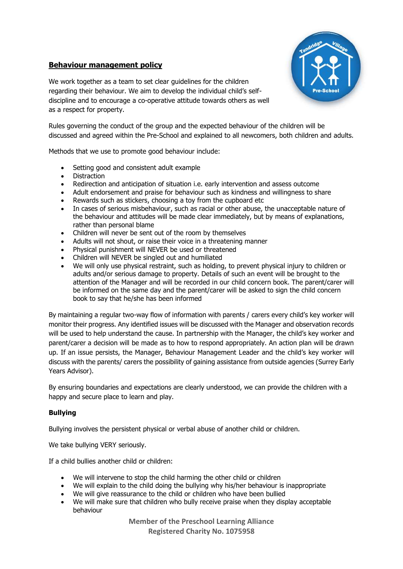# **Behaviour management policy**



We work together as a team to set clear guidelines for the children regarding their behaviour. We aim to develop the individual child's selfdiscipline and to encourage a co-operative attitude towards others as well as a respect for property.

Rules governing the conduct of the group and the expected behaviour of the children will be discussed and agreed within the Pre-School and explained to all newcomers, both children and adults.

Methods that we use to promote good behaviour include:

- Setting good and consistent adult example
- Distraction
- Redirection and anticipation of situation i.e. early intervention and assess outcome
- Adult endorsement and praise for behaviour such as kindness and willingness to share
- Rewards such as stickers, choosing a toy from the cupboard etc
- In cases of serious misbehaviour, such as racial or other abuse, the unacceptable nature of the behaviour and attitudes will be made clear immediately, but by means of explanations, rather than personal blame
- Children will never be sent out of the room by themselves
- Adults will not shout, or raise their voice in a threatening manner
- Physical punishment will NEVER be used or threatened
- Children will NEVER be singled out and humiliated
- We will only use physical restraint, such as holding, to prevent physical injury to children or adults and/or serious damage to property. Details of such an event will be brought to the attention of the Manager and will be recorded in our child concern book. The parent/carer will be informed on the same day and the parent/carer will be asked to sign the child concern book to say that he/she has been informed

By maintaining a regular two-way flow of information with parents / carers every child's key worker will monitor their progress. Any identified issues will be discussed with the Manager and observation records will be used to help understand the cause. In partnership with the Manager, the child's key worker and parent/carer a decision will be made as to how to respond appropriately. An action plan will be drawn up. If an issue persists, the Manager, Behaviour Management Leader and the child's key worker will discuss with the parents/ carers the possibility of gaining assistance from outside agencies (Surrey Early Years Advisor).

By ensuring boundaries and expectations are clearly understood, we can provide the children with a happy and secure place to learn and play.

# **Bullying**

Bullying involves the persistent physical or verbal abuse of another child or children.

We take bullying VERY seriously.

If a child bullies another child or children:

- We will intervene to stop the child harming the other child or children
- We will explain to the child doing the bullying why his/her behaviour is inappropriate
- We will give reassurance to the child or children who have been bullied
- We will make sure that children who bully receive praise when they display acceptable behaviour

**Member of the Preschool Learning Alliance Registered Charity No. 1075958**